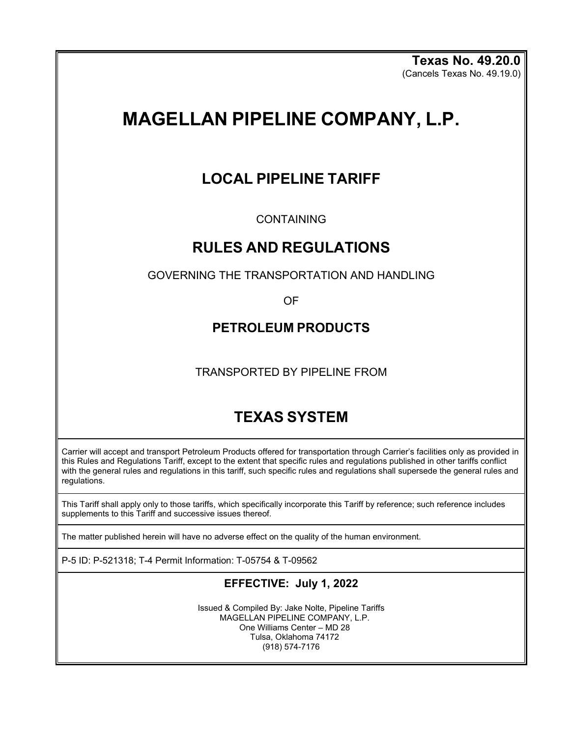**Texas No. 49.20.0** (Cancels Texas No. 49.19.0)

# **MAGELLAN PIPELINE COMPANY, L.P.**

## **LOCAL PIPELINE TARIFF**

CONTAINING

### **RULES AND REGULATIONS**

GOVERNING THE TRANSPORTATION AND HANDLING

OF

### **PETROLEUM PRODUCTS**

TRANSPORTED BY PIPELINE FROM

## **TEXAS SYSTEM**

Carrier will accept and transport Petroleum Products offered for transportation through Carrier's facilities only as provided in this Rules and Regulations Tariff, except to the extent that specific rules and regulations published in other tariffs conflict with the general rules and regulations in this tariff, such specific rules and regulations shall supersede the general rules and regulations.

This Tariff shall apply only to those tariffs, which specifically incorporate this Tariff by reference; such reference includes supplements to this Tariff and successive issues thereof.

The matter published herein will have no adverse effect on the quality of the human environment.

P-5 ID: P-521318; T-4 Permit Information: T-05754 & T-09562

### **EFFECTIVE: July 1, 2022**

Issued & Compiled By: Jake Nolte, Pipeline Tariffs MAGELLAN PIPELINE COMPANY, L.P. One Williams Center – MD 28 Tulsa, Oklahoma 74172 (918) 574-7176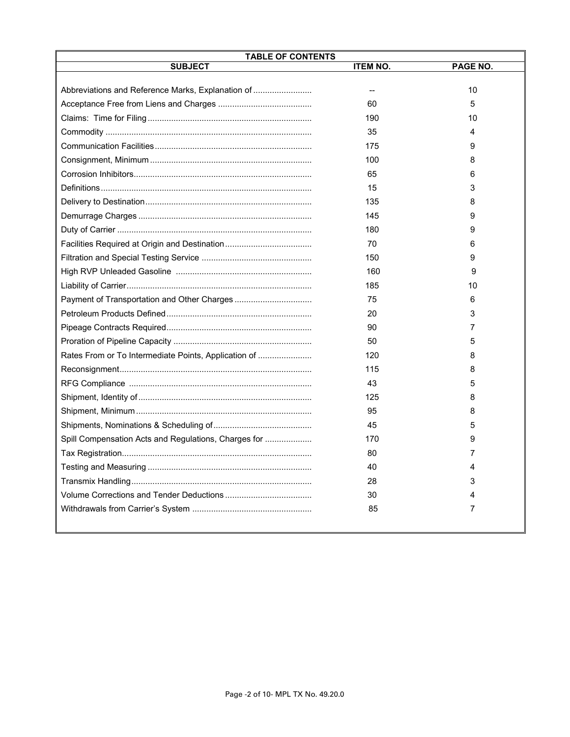| <b>TABLE OF CONTENTS</b>                             |                 |          |
|------------------------------------------------------|-----------------|----------|
| <b>SUBJECT</b>                                       | <b>ITEM NO.</b> | PAGE NO. |
| Abbreviations and Reference Marks, Explanation of    | --              | 10       |
|                                                      | 60              | 5        |
|                                                      | 190             | 10       |
|                                                      | 35              | 4        |
|                                                      | 175             | 9        |
|                                                      | 100             | 8        |
|                                                      | 65              | 6        |
|                                                      | 15              | 3        |
|                                                      | 135             | 8        |
|                                                      | 145             | 9        |
|                                                      | 180             | 9        |
|                                                      | 70              | 6        |
|                                                      | 150             | 9        |
|                                                      | 160             | 9        |
|                                                      | 185             | 10       |
|                                                      | 75              | 6        |
|                                                      | 20              | 3        |
|                                                      | 90              | 7        |
|                                                      | 50              | 5        |
| Rates From or To Intermediate Points, Application of | 120             | 8        |
|                                                      | 115             | 8        |
|                                                      | 43              | 5        |
|                                                      | 125             | 8        |
|                                                      | 95              | 8        |
|                                                      | 45              | 5        |
| Spill Compensation Acts and Regulations, Charges for | 170             | 9        |
|                                                      | 80              | 7        |
|                                                      | 40              | 4        |
|                                                      | 28              | 3        |
|                                                      | 30              | 4        |
|                                                      | 85              | 7        |
|                                                      |                 |          |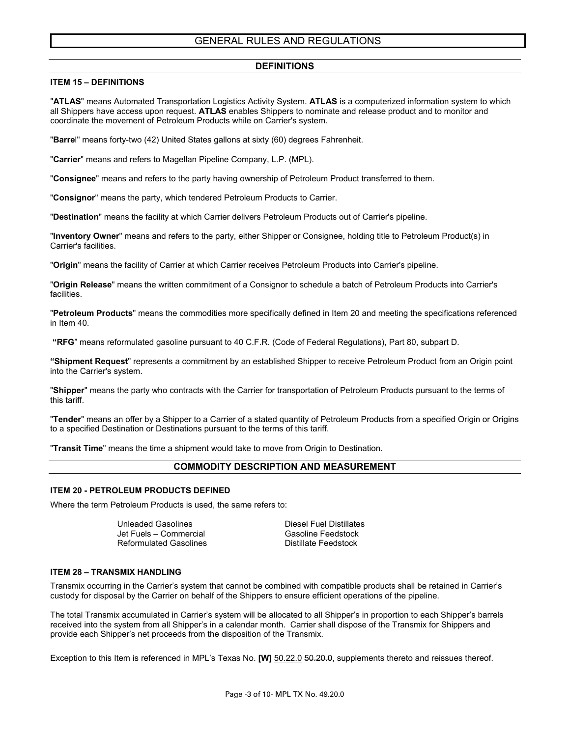#### GENERAL RULES AND REGULATIONS

#### **DEFINITIONS**

#### **ITEM 15 – DEFINITIONS**

"**ATLAS**" means Automated Transportation Logistics Activity System. **ATLAS** is a computerized information system to which all Shippers have access upon request. **ATLAS** enables Shippers to nominate and release product and to monitor and coordinate the movement of Petroleum Products while on Carrier's system.

"**Barre**l" means forty-two (42) United States gallons at sixty (60) degrees Fahrenheit.

"**Carrier**" means and refers to Magellan Pipeline Company, L.P. (MPL).

"**Consignee**" means and refers to the party having ownership of Petroleum Product transferred to them.

"**Consignor**" means the party, which tendered Petroleum Products to Carrier.

"**Destination**" means the facility at which Carrier delivers Petroleum Products out of Carrier's pipeline.

"**Inventory Owner**" means and refers to the party, either Shipper or Consignee, holding title to Petroleum Product(s) in Carrier's facilities.

"**Origin**" means the facility of Carrier at which Carrier receives Petroleum Products into Carrier's pipeline.

"**Origin Release**" means the written commitment of a Consignor to schedule a batch of Petroleum Products into Carrier's facilities.

"**Petroleum Products**" means the commodities more specifically defined in Item 20 and meeting the specifications referenced in Item 40.

**"RFG**" means reformulated gasoline pursuant to 40 C.F.R. (Code of Federal Regulations), Part 80, subpart D.

**"Shipment Request**" represents a commitment by an established Shipper to receive Petroleum Product from an Origin point into the Carrier's system.

"**Shipper**" means the party who contracts with the Carrier for transportation of Petroleum Products pursuant to the terms of this tariff.

"**Tender**" means an offer by a Shipper to a Carrier of a stated quantity of Petroleum Products from a specified Origin or Origins to a specified Destination or Destinations pursuant to the terms of this tariff.

"**Transit Time**" means the time a shipment would take to move from Origin to Destination.

#### **COMMODITY DESCRIPTION AND MEASUREMENT**

#### **ITEM 20 - PETROLEUM PRODUCTS DEFINED**

Where the term Petroleum Products is used, the same refers to:

Unleaded Gasolines Diesel Fuel Distillates Jet Fuels – Commercial Gasoline Feedstock Reformulated Gasolines

#### **ITEM 28 – TRANSMIX HANDLING**

Transmix occurring in the Carrier's system that cannot be combined with compatible products shall be retained in Carrier's custody for disposal by the Carrier on behalf of the Shippers to ensure efficient operations of the pipeline.

The total Transmix accumulated in Carrier's system will be allocated to all Shipper's in proportion to each Shipper's barrels received into the system from all Shipper's in a calendar month. Carrier shall dispose of the Transmix for Shippers and provide each Shipper's net proceeds from the disposition of the Transmix.

Exception to this Item is referenced in MPL's Texas No. **[W]** 50.22.0 50.20.0, supplements thereto and reissues thereof.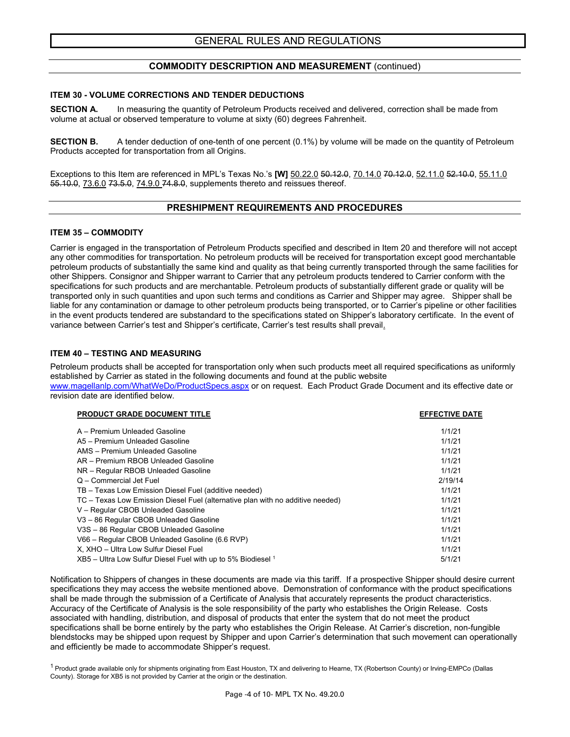#### **COMMODITY DESCRIPTION AND MEASUREMENT** (continued)

#### **ITEM 30 - VOLUME CORRECTIONS AND TENDER DEDUCTIONS**

**SECTION A.** In measuring the quantity of Petroleum Products received and delivered, correction shall be made from volume at actual or observed temperature to volume at sixty (60) degrees Fahrenheit.

**SECTION B.** A tender deduction of one-tenth of one percent (0.1%) by volume will be made on the quantity of Petroleum Products accepted for transportation from all Origins.

Exceptions to this Item are referenced in MPL's Texas No.'s **[W]** 50.22.0 50.12.0, 70.14.0 70.12.0, 52.11.0 52.10.0, 55.11.0 55.10.0, 73.6.0 73.5.0, 74.9.0 74.8.0, supplements thereto and reissues thereof.

#### **PRESHIPMENT REQUIREMENTS AND PROCEDURES**

#### **ITEM 35 – COMMODITY**

Carrier is engaged in the transportation of Petroleum Products specified and described in Item 20 and therefore will not accept any other commodities for transportation. No petroleum products will be received for transportation except good merchantable petroleum products of substantially the same kind and quality as that being currently transported through the same facilities for other Shippers. Consignor and Shipper warrant to Carrier that any petroleum products tendered to Carrier conform with the specifications for such products and are merchantable. Petroleum products of substantially different grade or quality will be transported only in such quantities and upon such terms and conditions as Carrier and Shipper may agree. Shipper shall be liable for any contamination or damage to other petroleum products being transported, or to Carrier's pipeline or other facilities in the event products tendered are substandard to the specifications stated on Shipper's laboratory certificate. In the event of variance between Carrier's test and Shipper's certificate, Carrier's test results shall prevail.

#### **ITEM 40 – TESTING AND MEASURING**

Petroleum products shall be accepted for transportation only when such products meet all required specifications as uniformly established by Carrier as stated in the following documents and found at the public website

[www.magellanlp.com/WhatWeDo/ProductSpecs.aspx](http://www.magellanlp.com/WhatWeDo/ProductSpecs.aspx) or on request. Each Product Grade Document and its effective date or revision date are identified below.

| <b>PRODUCT GRADE DOCUMENT TITLE</b>                                            | <b>EFFECTIVE DATE</b> |
|--------------------------------------------------------------------------------|-----------------------|
| A – Premium Unleaded Gasoline                                                  | 1/1/21                |
| A5 - Premium Unleaded Gasoline                                                 | 1/1/21                |
| AMS - Premium Unleaded Gasoline                                                | 1/1/21                |
| AR - Premium RBOB Unleaded Gasoline                                            | 1/1/21                |
| NR - Regular RBOB Unleaded Gasoline                                            | 1/1/21                |
| Q - Commercial Jet Fuel                                                        | 2/19/14               |
| TB - Texas Low Emission Diesel Fuel (additive needed)                          | 1/1/21                |
| TC – Texas Low Emission Diesel Fuel (alternative plan with no additive needed) | 1/1/21                |
| V - Regular CBOB Unleaded Gasoline                                             | 1/1/21                |
| V3-86 Regular CBOB Unleaded Gasoline                                           | 1/1/21                |
| V3S-86 Regular CBOB Unleaded Gasoline                                          | 1/1/21                |
| V66 - Regular CBOB Unleaded Gasoline (6.6 RVP)                                 | 1/1/21                |
| X, XHO - Ultra Low Sulfur Diesel Fuel                                          | 1/1/21                |
| $XB5$ – Ultra Low Sulfur Diesel Fuel with up to 5% Biodiesel 1                 | 5/1/21                |

Notification to Shippers of changes in these documents are made via this tariff. If a prospective Shipper should desire current specifications they may access the website mentioned above. Demonstration of conformance with the product specifications shall be made through the submission of a Certificate of Analysis that accurately represents the product characteristics. Accuracy of the Certificate of Analysis is the sole responsibility of the party who establishes the Origin Release. Costs associated with handling, distribution, and disposal of products that enter the system that do not meet the product specifications shall be borne entirely by the party who establishes the Origin Release. At Carrier's discretion, non-fungible blendstocks may be shipped upon request by Shipper and upon Carrier's determination that such movement can operationally and efficiently be made to accommodate Shipper's request.

<sup>1</sup> Product grade available only for shipments originating from East Houston, TX and delivering to Hearne, TX (Robertson County) or Irving-EMPCo (Dallas County). Storage for XB5 is not provided by Carrier at the origin or the destination.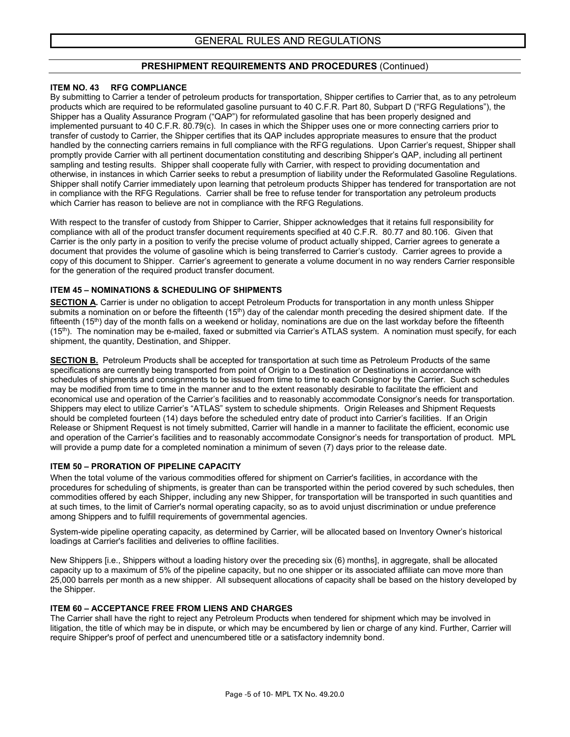#### **PRESHIPMENT REQUIREMENTS AND PROCEDURES** (Continued)

#### **ITEM NO. 43 RFG COMPLIANCE**

By submitting to Carrier a tender of petroleum products for transportation, Shipper certifies to Carrier that, as to any petroleum products which are required to be reformulated gasoline pursuant to 40 C.F.R. Part 80, Subpart D ("RFG Regulations"), the Shipper has a Quality Assurance Program ("QAP") for reformulated gasoline that has been properly designed and implemented pursuant to 40 C.F.R. 80.79(c). In cases in which the Shipper uses one or more connecting carriers prior to transfer of custody to Carrier, the Shipper certifies that its QAP includes appropriate measures to ensure that the product handled by the connecting carriers remains in full compliance with the RFG regulations. Upon Carrier's request, Shipper shall promptly provide Carrier with all pertinent documentation constituting and describing Shipper's QAP, including all pertinent sampling and testing results. Shipper shall cooperate fully with Carrier, with respect to providing documentation and otherwise, in instances in which Carrier seeks to rebut a presumption of liability under the Reformulated Gasoline Regulations. Shipper shall notify Carrier immediately upon learning that petroleum products Shipper has tendered for transportation are not in compliance with the RFG Regulations. Carrier shall be free to refuse tender for transportation any petroleum products which Carrier has reason to believe are not in compliance with the RFG Regulations.

With respect to the transfer of custody from Shipper to Carrier, Shipper acknowledges that it retains full responsibility for compliance with all of the product transfer document requirements specified at 40 C.F.R. 80.77 and 80.106. Given that Carrier is the only party in a position to verify the precise volume of product actually shipped, Carrier agrees to generate a document that provides the volume of gasoline which is being transferred to Carrier's custody. Carrier agrees to provide a copy of this document to Shipper. Carrier's agreement to generate a volume document in no way renders Carrier responsible for the generation of the required product transfer document.

#### **ITEM 45 – NOMINATIONS & SCHEDULING OF SHIPMENTS**

**SECTION A.** Carrier is under no obligation to accept Petroleum Products for transportation in any month unless Shipper submits a nomination on or before the fifteenth  $(15<sup>th</sup>)$  day of the calendar month preceding the desired shipment date. If the fifteenth  $(15<sup>th</sup>)$  day of the month falls on a weekend or holiday, nominations are due on the last workday before the fifteenth  $(15<sup>th</sup>)$ . The nomination may be e-mailed, faxed or submitted via Carrier's ATLAS system. A nomination must specify, for each shipment, the quantity, Destination, and Shipper.

**SECTION B.** Petroleum Products shall be accepted for transportation at such time as Petroleum Products of the same specifications are currently being transported from point of Origin to a Destination or Destinations in accordance with schedules of shipments and consignments to be issued from time to time to each Consignor by the Carrier. Such schedules may be modified from time to time in the manner and to the extent reasonably desirable to facilitate the efficient and economical use and operation of the Carrier's facilities and to reasonably accommodate Consignor's needs for transportation. Shippers may elect to utilize Carrier's "ATLAS" system to schedule shipments. Origin Releases and Shipment Requests should be completed fourteen (14) days before the scheduled entry date of product into Carrier's facilities. If an Origin Release or Shipment Request is not timely submitted, Carrier will handle in a manner to facilitate the efficient, economic use and operation of the Carrier's facilities and to reasonably accommodate Consignor's needs for transportation of product. MPL will provide a pump date for a completed nomination a minimum of seven (7) days prior to the release date.

#### **ITEM 50 – PRORATION OF PIPELINE CAPACITY**

When the total volume of the various commodities offered for shipment on Carrier's facilities, in accordance with the procedures for scheduling of shipments, is greater than can be transported within the period covered by such schedules, then commodities offered by each Shipper, including any new Shipper, for transportation will be transported in such quantities and at such times, to the limit of Carrier's normal operating capacity, so as to avoid unjust discrimination or undue preference among Shippers and to fulfill requirements of governmental agencies.

System-wide pipeline operating capacity, as determined by Carrier, will be allocated based on Inventory Owner's historical loadings at Carrier's facilities and deliveries to offline facilities.

New Shippers *[i.e., Shippers without a loading history over the preceding six (6) months], in aggregate, shall be allocated* capacity up to a maximum of 5% of the pipeline capacity, but no one shipper or its associated affiliate can move more than 25,000 barrels per month as a new shipper. All subsequent allocations of capacity shall be based on the history developed by the Shipper.

#### **ITEM 60 – ACCEPTANCE FREE FROM LIENS AND CHARGES**

The Carrier shall have the right to reject any Petroleum Products when tendered for shipment which may be involved in litigation, the title of which may be in dispute, or which may be encumbered by lien or charge of any kind. Further, Carrier will require Shipper's proof of perfect and unencumbered title or a satisfactory indemnity bond.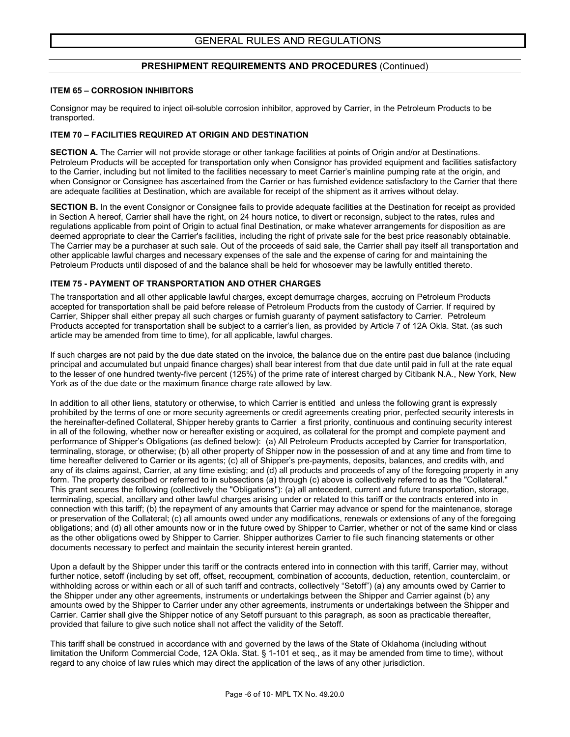#### **PRESHIPMENT REQUIREMENTS AND PROCEDURES** (Continued)

#### **ITEM 65 – CORROSION INHIBITORS**

Consignor may be required to inject oil-soluble corrosion inhibitor, approved by Carrier, in the Petroleum Products to be transported.

#### **ITEM 70 – FACILITIES REQUIRED AT ORIGIN AND DESTINATION**

**SECTION A.** The Carrier will not provide storage or other tankage facilities at points of Origin and/or at Destinations. Petroleum Products will be accepted for transportation only when Consignor has provided equipment and facilities satisfactory to the Carrier, including but not limited to the facilities necessary to meet Carrier's mainline pumping rate at the origin, and when Consignor or Consignee has ascertained from the Carrier or has furnished evidence satisfactory to the Carrier that there are adequate facilities at Destination, which are available for receipt of the shipment as it arrives without delay.

**SECTION B.** In the event Consignor or Consignee fails to provide adequate facilities at the Destination for receipt as provided in Section A hereof, Carrier shall have the right, on 24 hours notice, to divert or reconsign, subject to the rates, rules and regulations applicable from point of Origin to actual final Destination, or make whatever arrangements for disposition as are deemed appropriate to clear the Carrier's facilities, including the right of private sale for the best price reasonably obtainable. The Carrier may be a purchaser at such sale. Out of the proceeds of said sale, the Carrier shall pay itself all transportation and other applicable lawful charges and necessary expenses of the sale and the expense of caring for and maintaining the Petroleum Products until disposed of and the balance shall be held for whosoever may be lawfully entitled thereto.

#### **ITEM 75 - PAYMENT OF TRANSPORTATION AND OTHER CHARGES**

The transportation and all other applicable lawful charges, except demurrage charges, accruing on Petroleum Products accepted for transportation shall be paid before release of Petroleum Products from the custody of Carrier. If required by Carrier, Shipper shall either prepay all such charges or furnish guaranty of payment satisfactory to Carrier. Petroleum Products accepted for transportation shall be subject to a carrier's lien, as provided by Article 7 of 12A Okla. Stat. (as such article may be amended from time to time), for all applicable, lawful charges.

If such charges are not paid by the due date stated on the invoice, the balance due on the entire past due balance (including principal and accumulated but unpaid finance charges) shall bear interest from that due date until paid in full at the rate equal to the lesser of one hundred twenty-five percent (125%) of the prime rate of interest charged by Citibank N.A., New York, New York as of the due date or the maximum finance charge rate allowed by law.

In addition to all other liens, statutory or otherwise, to which Carrier is entitled and unless the following grant is expressly prohibited by the terms of one or more security agreements or credit agreements creating prior, perfected security interests in the hereinafter-defined Collateral, Shipper hereby grants to Carrier a first priority, continuous and continuing security interest in all of the following, whether now or hereafter existing or acquired, as collateral for the prompt and complete payment and performance of Shipper's Obligations (as defined below): (a) All Petroleum Products accepted by Carrier for transportation, terminaling, storage, or otherwise; (b) all other property of Shipper now in the possession of and at any time and from time to time hereafter delivered to Carrier or its agents; (c) all of Shipper's pre-payments, deposits, balances, and credits with, and any of its claims against, Carrier, at any time existing; and (d) all products and proceeds of any of the foregoing property in any form. The property described or referred to in subsections (a) through (c) above is collectively referred to as the "Collateral." This grant secures the following (collectively the "Obligations"): (a) all antecedent, current and future transportation, storage, terminaling, special, ancillary and other lawful charges arising under or related to this tariff or the contracts entered into in connection with this tariff; (b) the repayment of any amounts that Carrier may advance or spend for the maintenance, storage or preservation of the Collateral; (c) all amounts owed under any modifications, renewals or extensions of any of the foregoing obligations; and (d) all other amounts now or in the future owed by Shipper to Carrier, whether or not of the same kind or class as the other obligations owed by Shipper to Carrier. Shipper authorizes Carrier to file such financing statements or other documents necessary to perfect and maintain the security interest herein granted.

Upon a default by the Shipper under this tariff or the contracts entered into in connection with this tariff, Carrier may, without further notice, setoff (including by set off, offset, recoupment, combination of accounts, deduction, retention, counterclaim, or withholding across or within each or all of such tariff and contracts, collectively "Setoff") (a) any amounts owed by Carrier to the Shipper under any other agreements, instruments or undertakings between the Shipper and Carrier against (b) any amounts owed by the Shipper to Carrier under any other agreements, instruments or undertakings between the Shipper and Carrier. Carrier shall give the Shipper notice of any Setoff pursuant to this paragraph, as soon as practicable thereafter, provided that failure to give such notice shall not affect the validity of the Setoff.

This tariff shall be construed in accordance with and governed by the laws of the State of Oklahoma (including without limitation the Uniform Commercial Code, 12A Okla. Stat. § 1-101 et seq., as it may be amended from time to time), without regard to any choice of law rules which may direct the application of the laws of any other jurisdiction.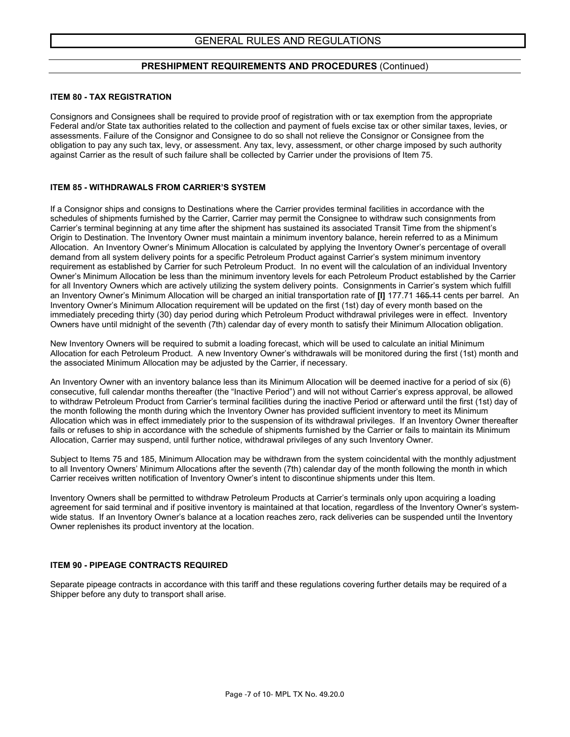#### **PRESHIPMENT REQUIREMENTS AND PROCEDURES** (Continued)

#### **ITEM 80 - TAX REGISTRATION**

Consignors and Consignees shall be required to provide proof of registration with or tax exemption from the appropriate Federal and/or State tax authorities related to the collection and payment of fuels excise tax or other similar taxes, levies, or assessments. Failure of the Consignor and Consignee to do so shall not relieve the Consignor or Consignee from the obligation to pay any such tax, levy, or assessment. Any tax, levy, assessment, or other charge imposed by such authority against Carrier as the result of such failure shall be collected by Carrier under the provisions of Item 75.

#### **ITEM 85 - WITHDRAWALS FROM CARRIER'S SYSTEM**

If a Consignor ships and consigns to Destinations where the Carrier provides terminal facilities in accordance with the schedules of shipments furnished by the Carrier, Carrier may permit the Consignee to withdraw such consignments from Carrier's terminal beginning at any time after the shipment has sustained its associated Transit Time from the shipment's Origin to Destination. The Inventory Owner must maintain a minimum inventory balance, herein referred to as a Minimum Allocation. An Inventory Owner's Minimum Allocation is calculated by applying the Inventory Owner's percentage of overall demand from all system delivery points for a specific Petroleum Product against Carrier's system minimum inventory requirement as established by Carrier for such Petroleum Product. In no event will the calculation of an individual Inventory Owner's Minimum Allocation be less than the minimum inventory levels for each Petroleum Product established by the Carrier for all Inventory Owners which are actively utilizing the system delivery points. Consignments in Carrier's system which fulfill an Inventory Owner's Minimum Allocation will be charged an initial transportation rate of **[I]** 177.71 165.11 cents per barrel. An Inventory Owner's Minimum Allocation requirement will be updated on the first (1st) day of every month based on the immediately preceding thirty (30) day period during which Petroleum Product withdrawal privileges were in effect. Inventory Owners have until midnight of the seventh (7th) calendar day of every month to satisfy their Minimum Allocation obligation.

New Inventory Owners will be required to submit a loading forecast, which will be used to calculate an initial Minimum Allocation for each Petroleum Product. A new Inventory Owner's withdrawals will be monitored during the first (1st) month and the associated Minimum Allocation may be adjusted by the Carrier, if necessary.

An Inventory Owner with an inventory balance less than its Minimum Allocation will be deemed inactive for a period of six (6) consecutive, full calendar months thereafter (the "Inactive Period") and will not without Carrier's express approval, be allowed to withdraw Petroleum Product from Carrier's terminal facilities during the inactive Period or afterward until the first (1st) day of the month following the month during which the Inventory Owner has provided sufficient inventory to meet its Minimum Allocation which was in effect immediately prior to the suspension of its withdrawal privileges. If an Inventory Owner thereafter fails or refuses to ship in accordance with the schedule of shipments furnished by the Carrier or fails to maintain its Minimum Allocation, Carrier may suspend, until further notice, withdrawal privileges of any such Inventory Owner.

Subject to Items 75 and 185, Minimum Allocation may be withdrawn from the system coincidental with the monthly adjustment to all Inventory Owners' Minimum Allocations after the seventh (7th) calendar day of the month following the month in which Carrier receives written notification of Inventory Owner's intent to discontinue shipments under this Item.

Inventory Owners shall be permitted to withdraw Petroleum Products at Carrier's terminals only upon acquiring a loading agreement for said terminal and if positive inventory is maintained at that location, regardless of the Inventory Owner's systemwide status. If an Inventory Owner's balance at a location reaches zero, rack deliveries can be suspended until the Inventory Owner replenishes its product inventory at the location.

#### **ITEM 90 - PIPEAGE CONTRACTS REQUIRED**

Separate pipeage contracts in accordance with this tariff and these regulations covering further details may be required of a Shipper before any duty to transport shall arise.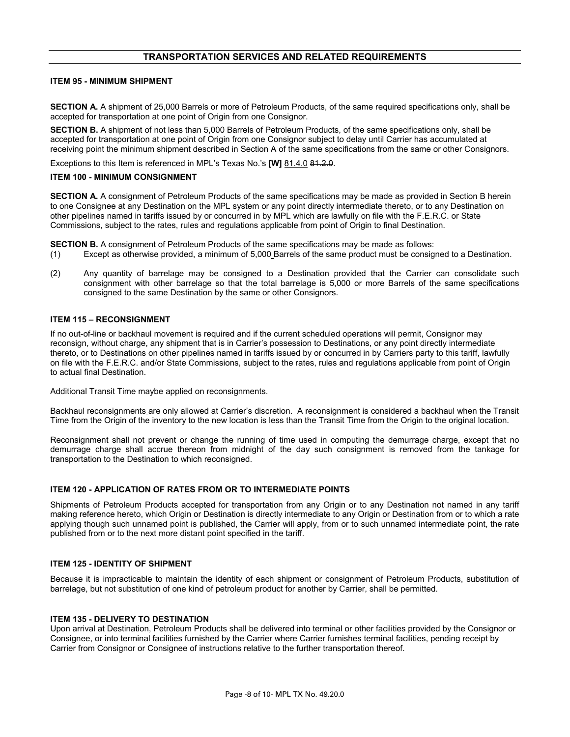#### **TRANSPORTATION SERVICES AND RELATED REQUIREMENTS**

#### **ITEM 95 - MINIMUM SHIPMENT**

**SECTION A.** A shipment of 25,000 Barrels or more of Petroleum Products, of the same required specifications only, shall be accepted for transportation at one point of Origin from one Consignor.

**SECTION B.** A shipment of not less than 5,000 Barrels of Petroleum Products, of the same specifications only, shall be accepted for transportation at one point of Origin from one Consignor subject to delay until Carrier has accumulated at receiving point the minimum shipment described in Section A of the same specifications from the same or other Consignors.

Exceptions to this Item is referenced in MPL's Texas No.'s [W] 81.4.0 81.2.0.

#### **ITEM 100 - MINIMUM CONSIGNMENT**

**SECTION A.** A consignment of Petroleum Products of the same specifications may be made as provided in Section B herein to one Consignee at any Destination on the MPL system or any point directly intermediate thereto, or to any Destination on other pipelines named in tariffs issued by or concurred in by MPL which are lawfully on file with the F.E.R.C. or State Commissions, subject to the rates, rules and regulations applicable from point of Origin to final Destination.

**SECTION B.** A consignment of Petroleum Products of the same specifications may be made as follows:

- (1) Except as otherwise provided, a minimum of 5,000 Barrels of the same product must be consigned to a Destination.
- (2) Any quantity of barrelage may be consigned to a Destination provided that the Carrier can consolidate such consignment with other barrelage so that the total barrelage is 5,000 or more Barrels of the same specifications consigned to the same Destination by the same or other Consignors.

#### **ITEM 115 – RECONSIGNMENT**

If no out-of-line or backhaul movement is required and if the current scheduled operations will permit, Consignor may reconsign, without charge, any shipment that is in Carrier's possession to Destinations, or any point directly intermediate thereto, or to Destinations on other pipelines named in tariffs issued by or concurred in by Carriers party to this tariff, lawfully on file with the F.E.R.C. and/or State Commissions, subject to the rates, rules and regulations applicable from point of Origin to actual final Destination.

Additional Transit Time maybe applied on reconsignments.

Backhaul reconsignments are only allowed at Carrier's discretion. A reconsignment is considered a backhaul when the Transit Time from the Origin of the inventory to the new location is less than the Transit Time from the Origin to the original location.

Reconsignment shall not prevent or change the running of time used in computing the demurrage charge, except that no demurrage charge shall accrue thereon from midnight of the day such consignment is removed from the tankage for transportation to the Destination to which reconsigned.

#### **ITEM 120 - APPLICATION OF RATES FROM OR TO INTERMEDIATE POINTS**

Shipments of Petroleum Products accepted for transportation from any Origin or to any Destination not named in any tariff making reference hereto, which Origin or Destination is directly intermediate to any Origin or Destination from or to which a rate applying though such unnamed point is published, the Carrier will apply, from or to such unnamed intermediate point, the rate published from or to the next more distant point specified in the tariff.

#### **ITEM 125 - IDENTITY OF SHIPMENT**

Because it is impracticable to maintain the identity of each shipment or consignment of Petroleum Products, substitution of barrelage, but not substitution of one kind of petroleum product for another by Carrier, shall be permitted.

#### **ITEM 135 - DELIVERY TO DESTINATION**

Upon arrival at Destination, Petroleum Products shall be delivered into terminal or other facilities provided by the Consignor or Consignee, or into terminal facilities furnished by the Carrier where Carrier furnishes terminal facilities, pending receipt by Carrier from Consignor or Consignee of instructions relative to the further transportation thereof.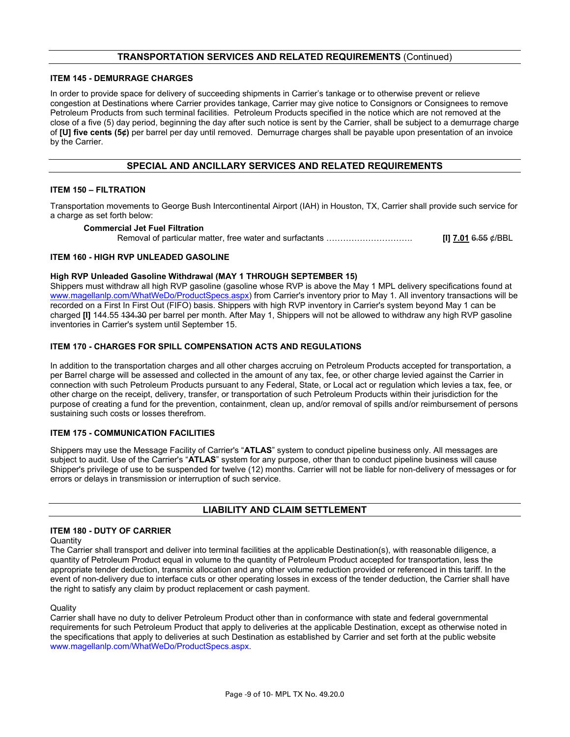#### **TRANSPORTATION SERVICES AND RELATED REQUIREMENTS** (Continued)

#### **ITEM 145 - DEMURRAGE CHARGES**

In order to provide space for delivery of succeeding shipments in Carrier's tankage or to otherwise prevent or relieve congestion at Destinations where Carrier provides tankage, Carrier may give notice to Consignors or Consignees to remove Petroleum Products from such terminal facilities. Petroleum Products specified in the notice which are not removed at the close of a five (5) day period, beginning the day after such notice is sent by the Carrier, shall be subject to a demurrage charge of **[U] five cents (5¢)** per barrel per day until removed. Demurrage charges shall be payable upon presentation of an invoice by the Carrier.

#### **SPECIAL AND ANCILLARY SERVICES AND RELATED REQUIREMENTS**

#### **ITEM 150 – FILTRATION**

Transportation movements to George Bush Intercontinental Airport (IAH) in Houston, TX, Carrier shall provide such service for a charge as set forth below:

#### **Commercial Jet Fuel Filtration**

Removal of particular matter, free water and surfactants …………………………. **[I] 7.01** 6.55 ¢/BBL

#### **ITEM 160 - HIGH RVP UNLEADED GASOLINE**

#### **High RVP Unleaded Gasoline Withdrawal (MAY 1 THROUGH SEPTEMBER 15)**

Shippers must withdraw all high RVP gasoline (gasoline whose RVP is above the May 1 MPL delivery specifications found at [www.magellanlp.com/WhatWeDo/ProductSpecs.aspx\)](http://www.magellanlp.com/WhatWeDo/ProductSpecs.aspx) from Carrier's inventory prior to May 1. All inventory transactions will be recorded on a First In First Out (FIFO) basis. Shippers with high RVP inventory in Carrier's system beyond May 1 can be charged **[I]** 144.55 134.30 per barrel per month. After May 1, Shippers will not be allowed to withdraw any high RVP gasoline inventories in Carrier's system until September 15.

#### **ITEM 170 - CHARGES FOR SPILL COMPENSATION ACTS AND REGULATIONS**

In addition to the transportation charges and all other charges accruing on Petroleum Products accepted for transportation, a per Barrel charge will be assessed and collected in the amount of any tax, fee, or other charge levied against the Carrier in connection with such Petroleum Products pursuant to any Federal, State, or Local act or regulation which levies a tax, fee, or other charge on the receipt, delivery, transfer, or transportation of such Petroleum Products within their jurisdiction for the purpose of creating a fund for the prevention, containment, clean up, and/or removal of spills and/or reimbursement of persons sustaining such costs or losses therefrom.

#### **ITEM 175 - COMMUNICATION FACILITIES**

Shippers may use the Message Facility of Carrier's "**ATLAS**" system to conduct pipeline business only. All messages are subject to audit. Use of the Carrier's "**ATLAS**" system for any purpose, other than to conduct pipeline business will cause Shipper's privilege of use to be suspended for twelve (12) months. Carrier will not be liable for non-delivery of messages or for errors or delays in transmission or interruption of such service.

#### **LIABILITY AND CLAIM SETTLEMENT**

#### **ITEM 180 - DUTY OF CARRIER**

#### **Quantity**

The Carrier shall transport and deliver into terminal facilities at the applicable Destination(s), with reasonable diligence, a quantity of Petroleum Product equal in volume to the quantity of Petroleum Product accepted for transportation, less the appropriate tender deduction, transmix allocation and any other volume reduction provided or referenced in this tariff. In the event of non-delivery due to interface cuts or other operating losses in excess of the tender deduction, the Carrier shall have the right to satisfy any claim by product replacement or cash payment.

#### **Quality**

Carrier shall have no duty to deliver Petroleum Product other than in conformance with state and federal governmental requirements for such Petroleum Product that apply to deliveries at the applicable Destination, except as otherwise noted in the specifications that apply to deliveries at such Destination as established by Carrier and set forth at the public website [www.magellanlp.com/WhatWeDo/ProductSpecs.aspx.](http://www.magellanlp.com/WhatWeDo/ProductSpecs.aspx)